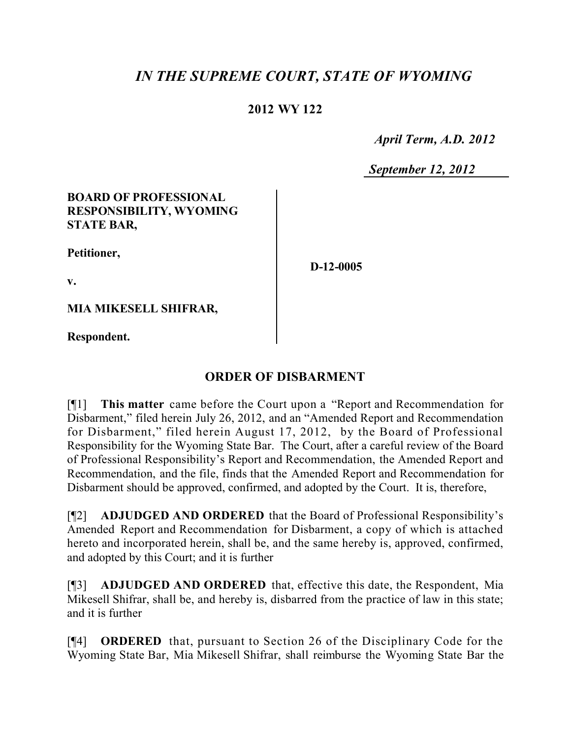# *IN THE SUPREME COURT, STATE OF WYOMING*

### **2012 WY 122**

 *April Term, A.D. 2012*

*September 12, 2012*

#### **BOARD OF PROFESSIONAL RESPONSIBILITY, WYOMING STATE BAR,**

**Petitioner,**

**D-12-0005**

**v.**

**MIA MIKESELL SHIFRAR,**

**Respondent.**

## **ORDER OF DISBARMENT**

[¶1] **This matter** came before the Court upon a "Report and Recommendation for Disbarment," filed herein July 26, 2012, and an "Amended Report and Recommendation for Disbarment," filed herein August 17, 2012, by the Board of Professional Responsibility for the Wyoming State Bar. The Court, after a careful review of the Board of Professional Responsibility's Report and Recommendation, the Amended Report and Recommendation, and the file, finds that the Amended Report and Recommendation for Disbarment should be approved, confirmed, and adopted by the Court. It is, therefore,

[¶2] **ADJUDGED AND ORDERED** that the Board of Professional Responsibility's Amended Report and Recommendation for Disbarment, a copy of which is attached hereto and incorporated herein, shall be, and the same hereby is, approved, confirmed, and adopted by this Court; and it is further

[¶3] **ADJUDGED AND ORDERED** that, effective this date, the Respondent, Mia Mikesell Shifrar, shall be, and hereby is, disbarred from the practice of law in this state; and it is further

[¶4] **ORDERED** that, pursuant to Section 26 of the Disciplinary Code for the Wyoming State Bar, Mia Mikesell Shifrar, shall reimburse the Wyoming State Bar the